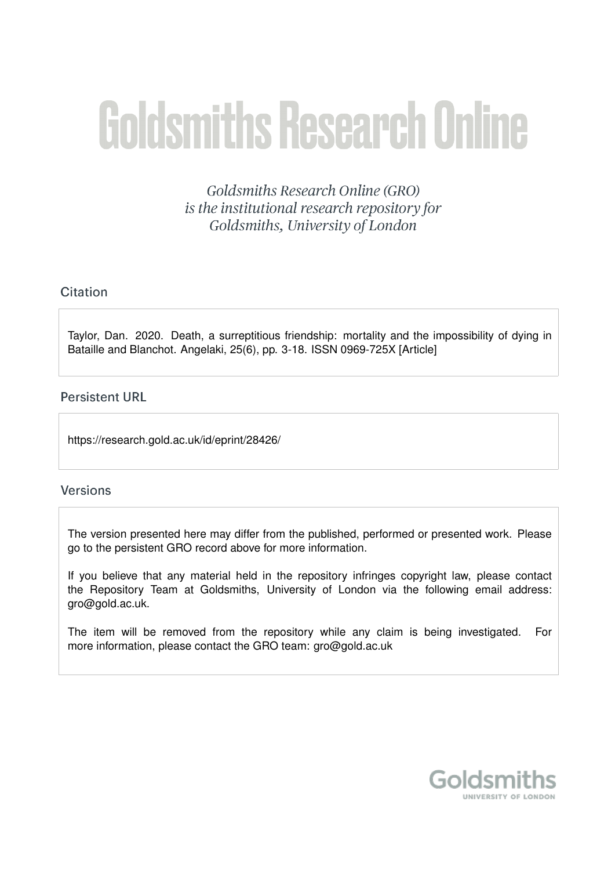# **Goldsmiths Research Online**

Goldsmiths Research Online (GRO) is the institutional research repository for Goldsmiths, University of London

### Citation

Taylor, Dan. 2020. Death, a surreptitious friendship: mortality and the impossibility of dying in Bataille and Blanchot. Angelaki, 25(6), pp. 3-18. ISSN 0969-725X [Article]

#### **Persistent URL**

https://research.gold.ac.uk/id/eprint/28426/

#### **Versions**

The version presented here may differ from the published, performed or presented work. Please go to the persistent GRO record above for more information.

If you believe that any material held in the repository infringes copyright law, please contact the Repository Team at Goldsmiths, University of London via the following email address: gro@gold.ac.uk.

The item will be removed from the repository while any claim is being investigated. For more information, please contact the GRO team: gro@gold.ac.uk

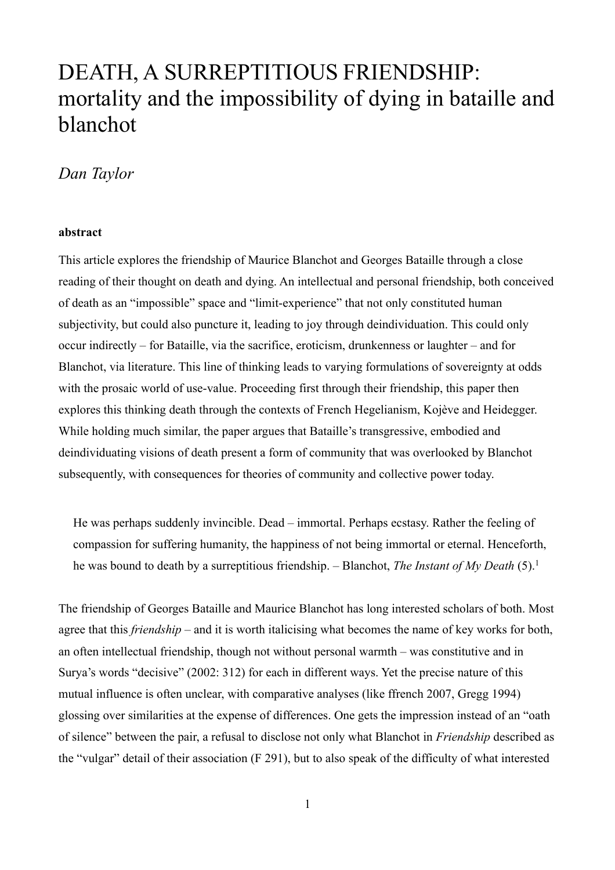# DEATH, A SURREPTITIOUS FRIENDSHIP: mortality and the impossibility of dying in bataille and blanchot

# *Dan Taylor*

#### **abstract**

This article explores the friendship of Maurice Blanchot and Georges Bataille through a close reading of their thought on death and dying. An intellectual and personal friendship, both conceived of death as an "impossible" space and "limit-experience" that not only constituted human subjectivity, but could also puncture it, leading to joy through deindividuation. This could only occur indirectly – for Bataille, via the sacrifice, eroticism, drunkenness or laughter – and for Blanchot, via literature. This line of thinking leads to varying formulations of sovereignty at odds with the prosaic world of use-value. Proceeding first through their friendship, this paper then explores this thinking death through the contexts of French Hegelianism, Kojève and Heidegger. While holding much similar, the paper argues that Bataille's transgressive, embodied and deindividuating visions of death present a form of community that was overlooked by Blanchot subsequently, with consequences for theories of community and collective power today.

He was perhaps suddenly invincible. Dead – immortal. Perhaps ecstasy. Rather the feeling of compassion for suffering humanity, the happiness of not being immortal or eternal. Henceforth, he was bound to death by a surreptitious friendship. – Blanchot, *The Instant of My Death* (5).1

The friendship of Georges Bataille and Maurice Blanchot has long interested scholars of both. Most agree that this *friendship* – and it is worth italicising what becomes the name of key works for both, an often intellectual friendship, though not without personal warmth – was constitutive and in Surya's words "decisive" (2002: 312) for each in different ways. Yet the precise nature of this mutual influence is often unclear, with comparative analyses (like ffrench 2007, Gregg 1994) glossing over similarities at the expense of differences. One gets the impression instead of an "oath of silence" between the pair, a refusal to disclose not only what Blanchot in *Friendship* described as the "vulgar" detail of their association (F 291), but to also speak of the difficulty of what interested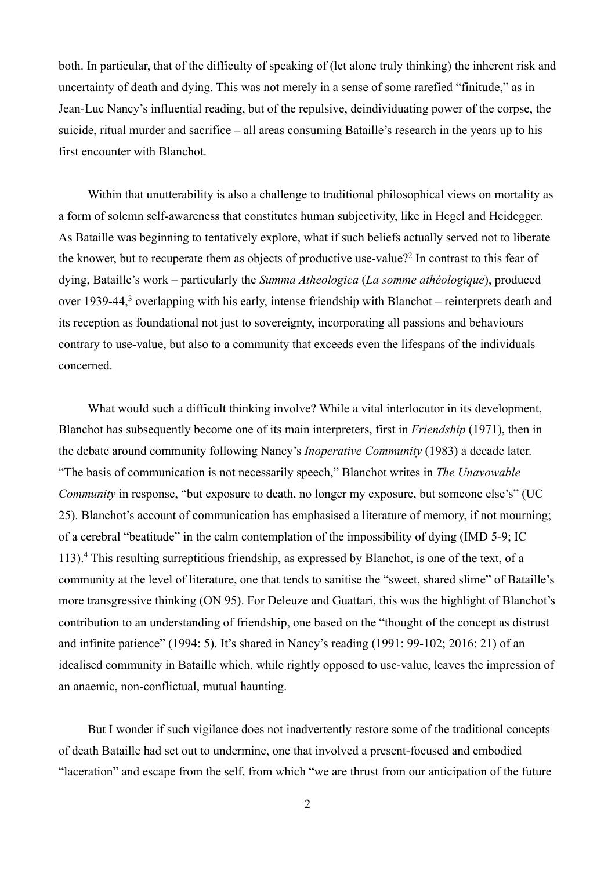both. In particular, that of the difficulty of speaking of (let alone truly thinking) the inherent risk and uncertainty of death and dying. This was not merely in a sense of some rarefied "finitude," as in Jean-Luc Nancy's influential reading, but of the repulsive, deindividuating power of the corpse, the suicide, ritual murder and sacrifice – all areas consuming Bataille's research in the years up to his first encounter with Blanchot.

Within that unutterability is also a challenge to traditional philosophical views on mortality as a form of solemn self-awareness that constitutes human subjectivity, like in Hegel and Heidegger. As Bataille was beginning to tentatively explore, what if such beliefs actually served not to liberate the knower, but to recuperate them as objects of productive use-value?<sup>2</sup> In contrast to this fear of dying, Bataille's work – particularly the *Summa Atheologica* (*La somme athéologique*), produced over 1939-44,<sup>3</sup> overlapping with his early, intense friendship with Blanchot – reinterprets death and its reception as foundational not just to sovereignty, incorporating all passions and behaviours contrary to use-value, but also to a community that exceeds even the lifespans of the individuals concerned.

What would such a difficult thinking involve? While a vital interlocutor in its development, Blanchot has subsequently become one of its main interpreters, first in *Friendship* (1971), then in the debate around community following Nancy's *Inoperative Community* (1983) a decade later. "The basis of communication is not necessarily speech," Blanchot writes in *The Unavowable Community* in response, "but exposure to death, no longer my exposure, but someone else's" (UC 25). Blanchot's account of communication has emphasised a literature of memory, if not mourning; of a cerebral "beatitude" in the calm contemplation of the impossibility of dying (IMD 5-9; IC 113).4 This resulting surreptitious friendship, as expressed by Blanchot, is one of the text, of a community at the level of literature, one that tends to sanitise the "sweet, shared slime" of Bataille's more transgressive thinking (ON 95). For Deleuze and Guattari, this was the highlight of Blanchot's contribution to an understanding of friendship, one based on the "thought of the concept as distrust and infinite patience" (1994: 5). It's shared in Nancy's reading (1991: 99-102; 2016: 21) of an idealised community in Bataille which, while rightly opposed to use-value, leaves the impression of an anaemic, non-conflictual, mutual haunting.

But I wonder if such vigilance does not inadvertently restore some of the traditional concepts of death Bataille had set out to undermine, one that involved a present-focused and embodied "laceration" and escape from the self, from which "we are thrust from our anticipation of the future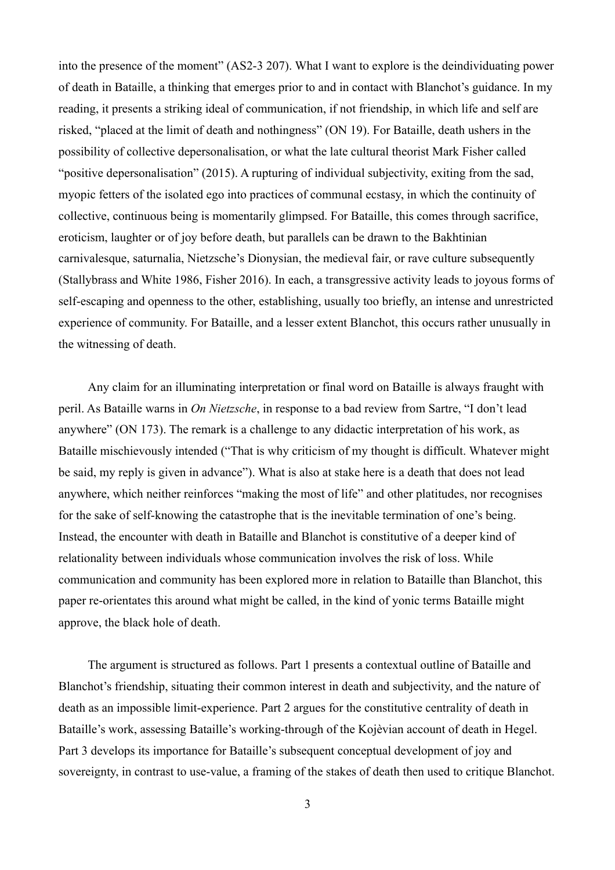into the presence of the moment" (AS2-3 207). What I want to explore is the deindividuating power of death in Bataille, a thinking that emerges prior to and in contact with Blanchot's guidance. In my reading, it presents a striking ideal of communication, if not friendship, in which life and self are risked, "placed at the limit of death and nothingness" (ON 19). For Bataille, death ushers in the possibility of collective depersonalisation, or what the late cultural theorist Mark Fisher called "positive depersonalisation" (2015). A rupturing of individual subjectivity, exiting from the sad, myopic fetters of the isolated ego into practices of communal ecstasy, in which the continuity of collective, continuous being is momentarily glimpsed. For Bataille, this comes through sacrifice, eroticism, laughter or of joy before death, but parallels can be drawn to the Bakhtinian carnivalesque, saturnalia, Nietzsche's Dionysian, the medieval fair, or rave culture subsequently (Stallybrass and White 1986, Fisher 2016). In each, a transgressive activity leads to joyous forms of self-escaping and openness to the other, establishing, usually too briefly, an intense and unrestricted experience of community. For Bataille, and a lesser extent Blanchot, this occurs rather unusually in the witnessing of death.

Any claim for an illuminating interpretation or final word on Bataille is always fraught with peril. As Bataille warns in *On Nietzsche*, in response to a bad review from Sartre, "I don't lead anywhere" (ON 173). The remark is a challenge to any didactic interpretation of his work, as Bataille mischievously intended ("That is why criticism of my thought is difficult. Whatever might be said, my reply is given in advance"). What is also at stake here is a death that does not lead anywhere, which neither reinforces "making the most of life" and other platitudes, nor recognises for the sake of self-knowing the catastrophe that is the inevitable termination of one's being. Instead, the encounter with death in Bataille and Blanchot is constitutive of a deeper kind of relationality between individuals whose communication involves the risk of loss. While communication and community has been explored more in relation to Bataille than Blanchot, this paper re-orientates this around what might be called, in the kind of yonic terms Bataille might approve, the black hole of death.

The argument is structured as follows. Part 1 presents a contextual outline of Bataille and Blanchot's friendship, situating their common interest in death and subjectivity, and the nature of death as an impossible limit-experience. Part 2 argues for the constitutive centrality of death in Bataille's work, assessing Bataille's working-through of the Kojèvian account of death in Hegel. Part 3 develops its importance for Bataille's subsequent conceptual development of joy and sovereignty, in contrast to use-value, a framing of the stakes of death then used to critique Blanchot.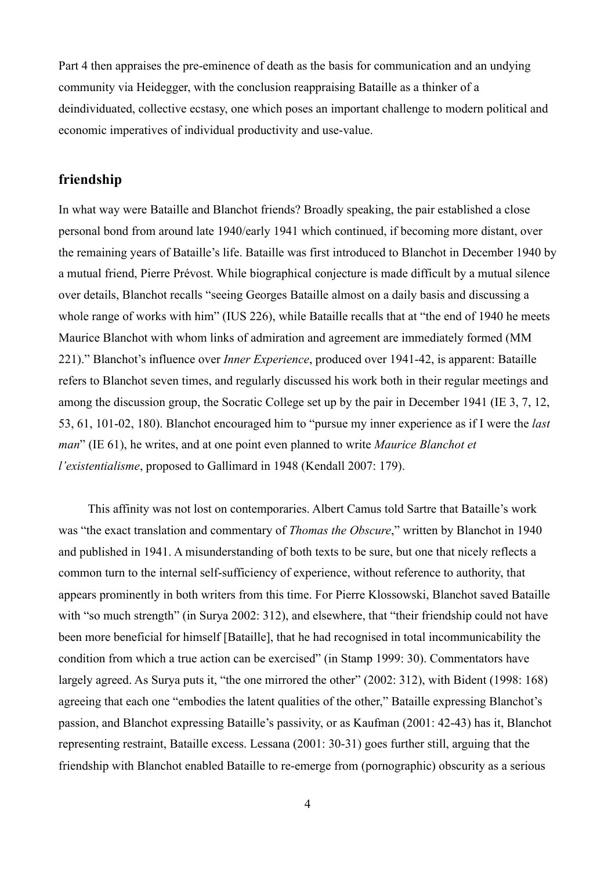Part 4 then appraises the pre-eminence of death as the basis for communication and an undying community via Heidegger, with the conclusion reappraising Bataille as a thinker of a deindividuated, collective ecstasy, one which poses an important challenge to modern political and economic imperatives of individual productivity and use-value.

# **friendship**

In what way were Bataille and Blanchot friends? Broadly speaking, the pair established a close personal bond from around late 1940/early 1941 which continued, if becoming more distant, over the remaining years of Bataille's life. Bataille was first introduced to Blanchot in December 1940 by a mutual friend, Pierre Prévost. While biographical conjecture is made difficult by a mutual silence over details, Blanchot recalls "seeing Georges Bataille almost on a daily basis and discussing a whole range of works with him" (IUS 226), while Bataille recalls that at "the end of 1940 he meets Maurice Blanchot with whom links of admiration and agreement are immediately formed (MM 221)." Blanchot's influence over *Inner Experience*, produced over 1941-42, is apparent: Bataille refers to Blanchot seven times, and regularly discussed his work both in their regular meetings and among the discussion group, the Socratic College set up by the pair in December 1941 (IE 3, 7, 12, 53, 61, 101-02, 180). Blanchot encouraged him to "pursue my inner experience as if I were the *last man*" (IE 61), he writes, and at one point even planned to write *Maurice Blanchot et l'existentialisme*, proposed to Gallimard in 1948 (Kendall 2007: 179).

This affinity was not lost on contemporaries. Albert Camus told Sartre that Bataille's work was "the exact translation and commentary of *Thomas the Obscure*," written by Blanchot in 1940 and published in 1941. A misunderstanding of both texts to be sure, but one that nicely reflects a common turn to the internal self-sufficiency of experience, without reference to authority, that appears prominently in both writers from this time. For Pierre Klossowski, Blanchot saved Bataille with "so much strength" (in Surya 2002: 312), and elsewhere, that "their friendship could not have been more beneficial for himself [Bataille], that he had recognised in total incommunicability the condition from which a true action can be exercised" (in Stamp 1999: 30). Commentators have largely agreed. As Surya puts it, "the one mirrored the other" (2002: 312), with Bident (1998: 168) agreeing that each one "embodies the latent qualities of the other," Bataille expressing Blanchot's passion, and Blanchot expressing Bataille's passivity, or as Kaufman (2001: 42-43) has it, Blanchot representing restraint, Bataille excess. Lessana (2001: 30-31) goes further still, arguing that the friendship with Blanchot enabled Bataille to re-emerge from (pornographic) obscurity as a serious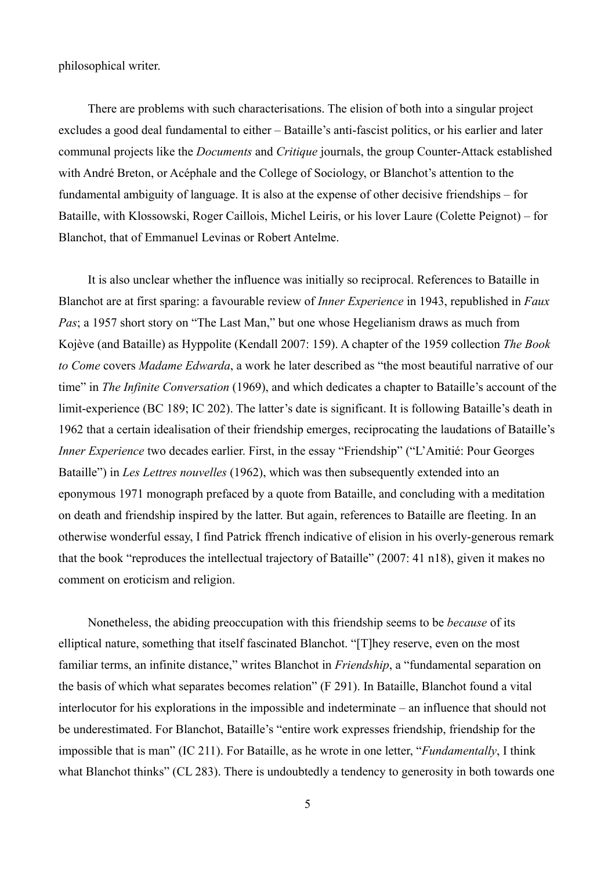philosophical writer.

There are problems with such characterisations. The elision of both into a singular project excludes a good deal fundamental to either – Bataille's anti-fascist politics, or his earlier and later communal projects like the *Documents* and *Critique* journals, the group Counter-Attack established with André Breton, or Acéphale and the College of Sociology, or Blanchot's attention to the fundamental ambiguity of language. It is also at the expense of other decisive friendships – for Bataille, with Klossowski, Roger Caillois, Michel Leiris, or his lover Laure (Colette Peignot) – for Blanchot, that of Emmanuel Levinas or Robert Antelme.

It is also unclear whether the influence was initially so reciprocal. References to Bataille in Blanchot are at first sparing: a favourable review of *Inner Experience* in 1943, republished in *Faux Pas*; a 1957 short story on "The Last Man," but one whose Hegelianism draws as much from Kojève (and Bataille) as Hyppolite (Kendall 2007: 159). A chapter of the 1959 collection *The Book to Come* covers *Madame Edwarda*, a work he later described as "the most beautiful narrative of our time" in *The Infinite Conversation* (1969), and which dedicates a chapter to Bataille's account of the limit-experience (BC 189; IC 202). The latter's date is significant. It is following Bataille's death in 1962 that a certain idealisation of their friendship emerges, reciprocating the laudations of Bataille's *Inner Experience* two decades earlier. First, in the essay "Friendship" ("L'Amitié: Pour Georges Bataille") in *Les Lettres nouvelles* (1962), which was then subsequently extended into an eponymous 1971 monograph prefaced by a quote from Bataille, and concluding with a meditation on death and friendship inspired by the latter. But again, references to Bataille are fleeting. In an otherwise wonderful essay, I find Patrick ffrench indicative of elision in his overly-generous remark that the book "reproduces the intellectual trajectory of Bataille" (2007: 41 n18), given it makes no comment on eroticism and religion.

Nonetheless, the abiding preoccupation with this friendship seems to be *because* of its elliptical nature, something that itself fascinated Blanchot. "[T]hey reserve, even on the most familiar terms, an infinite distance," writes Blanchot in *Friendship*, a "fundamental separation on the basis of which what separates becomes relation" (F 291). In Bataille, Blanchot found a vital interlocutor for his explorations in the impossible and indeterminate – an influence that should not be underestimated. For Blanchot, Bataille's "entire work expresses friendship, friendship for the impossible that is man" (IC 211). For Bataille, as he wrote in one letter, "*Fundamentally*, I think what Blanchot thinks" (CL 283). There is undoubtedly a tendency to generosity in both towards one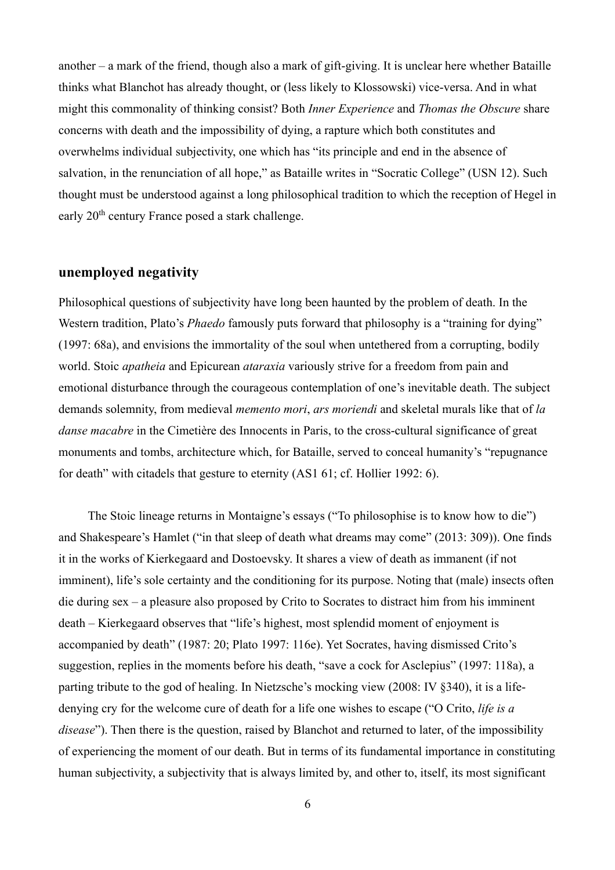another – a mark of the friend, though also a mark of gift-giving. It is unclear here whether Bataille thinks what Blanchot has already thought, or (less likely to Klossowski) vice-versa. And in what might this commonality of thinking consist? Both *Inner Experience* and *Thomas the Obscure* share concerns with death and the impossibility of dying, a rapture which both constitutes and overwhelms individual subjectivity, one which has "its principle and end in the absence of salvation, in the renunciation of all hope," as Bataille writes in "Socratic College" (USN 12). Such thought must be understood against a long philosophical tradition to which the reception of Hegel in early 20<sup>th</sup> century France posed a stark challenge.

### **unemployed negativity**

Philosophical questions of subjectivity have long been haunted by the problem of death. In the Western tradition, Plato's *Phaedo* famously puts forward that philosophy is a "training for dying" (1997: 68a), and envisions the immortality of the soul when untethered from a corrupting, bodily world. Stoic *apatheia* and Epicurean *ataraxia* variously strive for a freedom from pain and emotional disturbance through the courageous contemplation of one's inevitable death. The subject demands solemnity, from medieval *memento mori*, *ars moriendi* and skeletal murals like that of *la danse macabre* in the Cimetière des Innocents in Paris, to the cross-cultural significance of great monuments and tombs, architecture which, for Bataille, served to conceal humanity's "repugnance for death" with citadels that gesture to eternity (AS1 61; cf. Hollier 1992: 6).

The Stoic lineage returns in Montaigne's essays ("To philosophise is to know how to die") and Shakespeare's Hamlet ("in that sleep of death what dreams may come" (2013: 309)). One finds it in the works of Kierkegaard and Dostoevsky. It shares a view of death as immanent (if not imminent), life's sole certainty and the conditioning for its purpose. Noting that (male) insects often die during sex – a pleasure also proposed by Crito to Socrates to distract him from his imminent death – Kierkegaard observes that "life's highest, most splendid moment of enjoyment is accompanied by death" (1987: 20; Plato 1997: 116e). Yet Socrates, having dismissed Crito's suggestion, replies in the moments before his death, "save a cock for Asclepius" (1997: 118a), a parting tribute to the god of healing. In Nietzsche's mocking view (2008: IV §340), it is a lifedenying cry for the welcome cure of death for a life one wishes to escape ("O Crito, *life is a disease*"). Then there is the question, raised by Blanchot and returned to later, of the impossibility of experiencing the moment of our death. But in terms of its fundamental importance in constituting human subjectivity, a subjectivity that is always limited by, and other to, itself, its most significant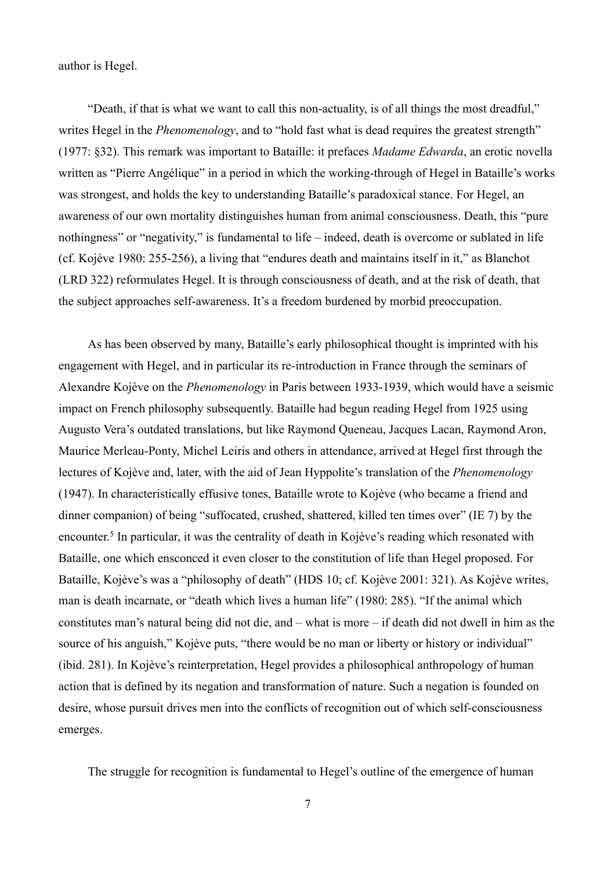author is Hegel.

"Death, if that is what we want to call this non-actuality, is of all things the most dreadful," writes Hegel in the *Phenomenology*, and to "hold fast what is dead requires the greatest strength" (1977: §32). This remark was important to Bataille: it prefaces *Madame Edwarda*, an erotic novella written as "Pierre Angélique" in a period in which the working-through of Hegel in Bataille's works was strongest, and holds the key to understanding Bataille's paradoxical stance. For Hegel, an awareness of our own mortality distinguishes human from animal consciousness. Death, this "pure nothingness" or "negativity," is fundamental to life – indeed, death is overcome or sublated in life (cf. Kojève 1980: 255-256), a living that "endures death and maintains itself in it," as Blanchot (LRD 322) reformulates Hegel. It is through consciousness of death, and at the risk of death, that the subject approaches self-awareness. It's a freedom burdened by morbid preoccupation.

As has been observed by many, Bataille's early philosophical thought is imprinted with his engagement with Hegel, and in particular its re-introduction in France through the seminars of Alexandre Kojève on the *Phenomenology* in Paris between 1933-1939, which would have a seismic impact on French philosophy subsequently. Bataille had begun reading Hegel from 1925 using Augusto Vera's outdated translations, but like Raymond Queneau, Jacques Lacan, Raymond Aron, Maurice Merleau-Ponty, Michel Leiris and others in attendance, arrived at Hegel first through the lectures of Kojève and, later, with the aid of Jean Hyppolite's translation of the *Phenomenology*  (1947). In characteristically effusive tones, Bataille wrote to Kojève (who became a friend and dinner companion) of being "suffocated, crushed, shattered, killed ten times over" (IE 7) by the encounter.<sup>5</sup> In particular, it was the centrality of death in Kojève's reading which resonated with Bataille, one which ensconced it even closer to the constitution of life than Hegel proposed. For Bataille, Kojève's was a "philosophy of death" (HDS 10; cf. Kojève 2001: 321). As Kojève writes, man is death incarnate, or "death which lives a human life" (1980: 285). "If the animal which constitutes man's natural being did not die, and – what is more – if death did not dwell in him as the source of his anguish," Kojève puts, "there would be no man or liberty or history or individual" (ibid. 281). In Kojève's reinterpretation, Hegel provides a philosophical anthropology of human action that is defined by its negation and transformation of nature. Such a negation is founded on desire, whose pursuit drives men into the conflicts of recognition out of which self-consciousness emerges.

The struggle for recognition is fundamental to Hegel's outline of the emergence of human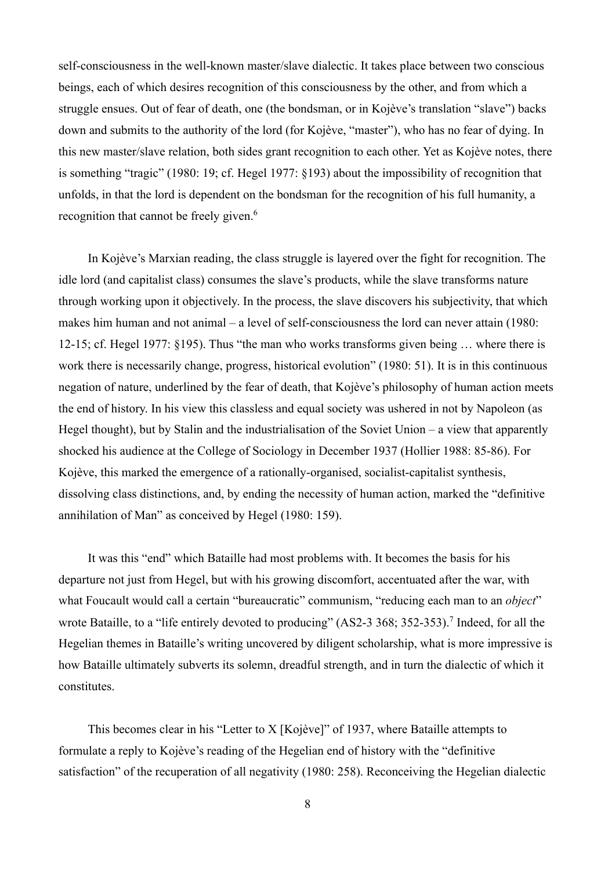self-consciousness in the well-known master/slave dialectic. It takes place between two conscious beings, each of which desires recognition of this consciousness by the other, and from which a struggle ensues. Out of fear of death, one (the bondsman, or in Kojève's translation "slave") backs down and submits to the authority of the lord (for Kojève, "master"), who has no fear of dying. In this new master/slave relation, both sides grant recognition to each other. Yet as Kojève notes, there is something "tragic" (1980: 19; cf. Hegel 1977: §193) about the impossibility of recognition that unfolds, in that the lord is dependent on the bondsman for the recognition of his full humanity, a recognition that cannot be freely given.<sup>6</sup>

In Kojève's Marxian reading, the class struggle is layered over the fight for recognition. The idle lord (and capitalist class) consumes the slave's products, while the slave transforms nature through working upon it objectively. In the process, the slave discovers his subjectivity, that which makes him human and not animal – a level of self-consciousness the lord can never attain (1980: 12-15; cf. Hegel 1977: §195). Thus "the man who works transforms given being … where there is work there is necessarily change, progress, historical evolution" (1980: 51). It is in this continuous negation of nature, underlined by the fear of death, that Kojève's philosophy of human action meets the end of history. In his view this classless and equal society was ushered in not by Napoleon (as Hegel thought), but by Stalin and the industrialisation of the Soviet Union – a view that apparently shocked his audience at the College of Sociology in December 1937 (Hollier 1988: 85-86). For Kojève, this marked the emergence of a rationally-organised, socialist-capitalist synthesis, dissolving class distinctions, and, by ending the necessity of human action, marked the "definitive annihilation of Man" as conceived by Hegel (1980: 159).

It was this "end" which Bataille had most problems with. It becomes the basis for his departure not just from Hegel, but with his growing discomfort, accentuated after the war, with what Foucault would call a certain "bureaucratic" communism, "reducing each man to an *object*" wrote Bataille, to a "life entirely devoted to producing" (AS2-3 368; 352-353).<sup>7</sup> Indeed, for all the Hegelian themes in Bataille's writing uncovered by diligent scholarship, what is more impressive is how Bataille ultimately subverts its solemn, dreadful strength, and in turn the dialectic of which it constitutes.

This becomes clear in his "Letter to X [Kojève]" of 1937, where Bataille attempts to formulate a reply to Kojève's reading of the Hegelian end of history with the "definitive satisfaction" of the recuperation of all negativity (1980: 258). Reconceiving the Hegelian dialectic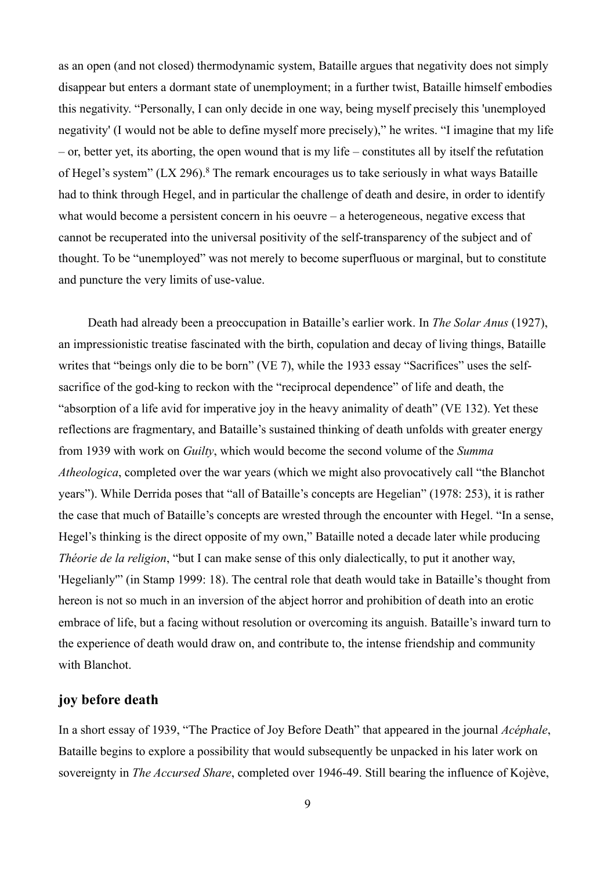as an open (and not closed) thermodynamic system, Bataille argues that negativity does not simply disappear but enters a dormant state of unemployment; in a further twist, Bataille himself embodies this negativity. "Personally, I can only decide in one way, being myself precisely this 'unemployed negativity' (I would not be able to define myself more precisely)," he writes. "I imagine that my life – or, better yet, its aborting, the open wound that is my life – constitutes all by itself the refutation of Hegel's system"  $(LX 296)$ .<sup>8</sup> The remark encourages us to take seriously in what ways Bataille had to think through Hegel, and in particular the challenge of death and desire, in order to identify what would become a persistent concern in his oeuvre – a heterogeneous, negative excess that cannot be recuperated into the universal positivity of the self-transparency of the subject and of thought. To be "unemployed" was not merely to become superfluous or marginal, but to constitute and puncture the very limits of use-value.

Death had already been a preoccupation in Bataille's earlier work. In *The Solar Anus* (1927), an impressionistic treatise fascinated with the birth, copulation and decay of living things, Bataille writes that "beings only die to be born" (VE 7), while the 1933 essay "Sacrifices" uses the selfsacrifice of the god-king to reckon with the "reciprocal dependence" of life and death, the "absorption of a life avid for imperative joy in the heavy animality of death" (VE 132). Yet these reflections are fragmentary, and Bataille's sustained thinking of death unfolds with greater energy from 1939 with work on *Guilty*, which would become the second volume of the *Summa Atheologica*, completed over the war years (which we might also provocatively call "the Blanchot years"). While Derrida poses that "all of Bataille's concepts are Hegelian" (1978: 253), it is rather the case that much of Bataille's concepts are wrested through the encounter with Hegel. "In a sense, Hegel's thinking is the direct opposite of my own," Bataille noted a decade later while producing *Théorie de la religion*, "but I can make sense of this only dialectically, to put it another way, 'Hegelianly'" (in Stamp 1999: 18). The central role that death would take in Bataille's thought from hereon is not so much in an inversion of the abject horror and prohibition of death into an erotic embrace of life, but a facing without resolution or overcoming its anguish. Bataille's inward turn to the experience of death would draw on, and contribute to, the intense friendship and community with Blanchot.

# **joy before death**

In a short essay of 1939, "The Practice of Joy Before Death" that appeared in the journal *Acéphale*, Bataille begins to explore a possibility that would subsequently be unpacked in his later work on sovereignty in *The Accursed Share*, completed over 1946-49. Still bearing the influence of Kojève,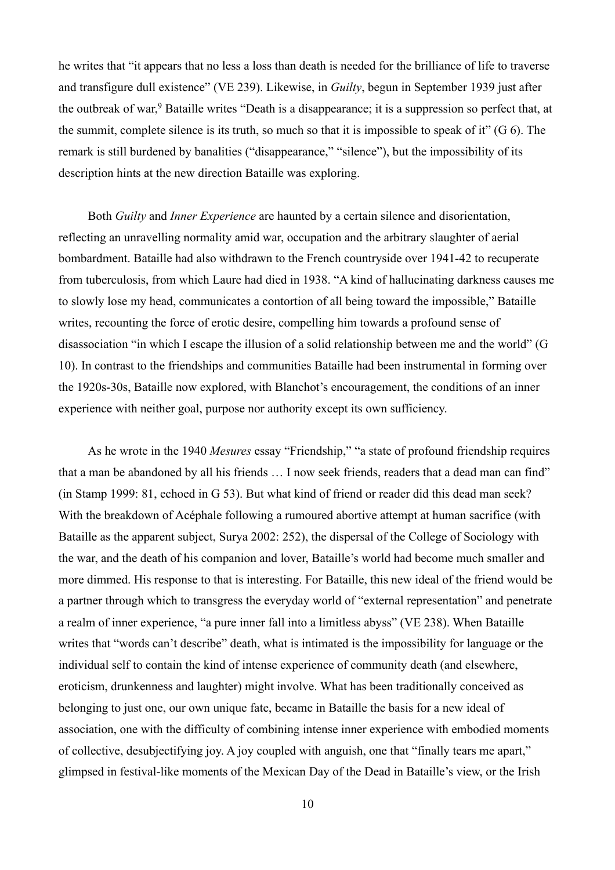he writes that "it appears that no less a loss than death is needed for the brilliance of life to traverse and transfigure dull existence" (VE 239). Likewise, in *Guilty*, begun in September 1939 just after the outbreak of war,<sup>9</sup> Bataille writes "Death is a disappearance; it is a suppression so perfect that, at the summit, complete silence is its truth, so much so that it is impossible to speak of it" (G 6). The remark is still burdened by banalities ("disappearance," "silence"), but the impossibility of its description hints at the new direction Bataille was exploring.

Both *Guilty* and *Inner Experience* are haunted by a certain silence and disorientation, reflecting an unravelling normality amid war, occupation and the arbitrary slaughter of aerial bombardment. Bataille had also withdrawn to the French countryside over 1941-42 to recuperate from tuberculosis, from which Laure had died in 1938. "A kind of hallucinating darkness causes me to slowly lose my head, communicates a contortion of all being toward the impossible," Bataille writes, recounting the force of erotic desire, compelling him towards a profound sense of disassociation "in which I escape the illusion of a solid relationship between me and the world" (G 10). In contrast to the friendships and communities Bataille had been instrumental in forming over the 1920s-30s, Bataille now explored, with Blanchot's encouragement, the conditions of an inner experience with neither goal, purpose nor authority except its own sufficiency.

As he wrote in the 1940 *Mesures* essay "Friendship," "a state of profound friendship requires that a man be abandoned by all his friends … I now seek friends, readers that a dead man can find" (in Stamp 1999: 81, echoed in G 53). But what kind of friend or reader did this dead man seek? With the breakdown of Acéphale following a rumoured abortive attempt at human sacrifice (with Bataille as the apparent subject, Surya 2002: 252), the dispersal of the College of Sociology with the war, and the death of his companion and lover, Bataille's world had become much smaller and more dimmed. His response to that is interesting. For Bataille, this new ideal of the friend would be a partner through which to transgress the everyday world of "external representation" and penetrate a realm of inner experience, "a pure inner fall into a limitless abyss" (VE 238). When Bataille writes that "words can't describe" death, what is intimated is the impossibility for language or the individual self to contain the kind of intense experience of community death (and elsewhere, eroticism, drunkenness and laughter) might involve. What has been traditionally conceived as belonging to just one, our own unique fate, became in Bataille the basis for a new ideal of association, one with the difficulty of combining intense inner experience with embodied moments of collective, desubjectifying joy. A joy coupled with anguish, one that "finally tears me apart," glimpsed in festival-like moments of the Mexican Day of the Dead in Bataille's view, or the Irish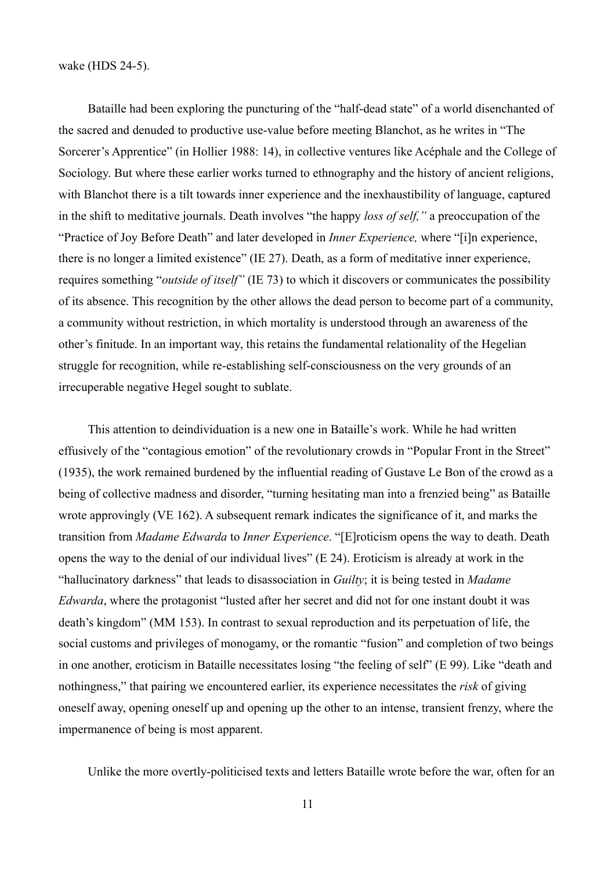wake (HDS 24-5).

Bataille had been exploring the puncturing of the "half-dead state" of a world disenchanted of the sacred and denuded to productive use-value before meeting Blanchot, as he writes in "The Sorcerer's Apprentice" (in Hollier 1988: 14), in collective ventures like Acéphale and the College of Sociology. But where these earlier works turned to ethnography and the history of ancient religions, with Blanchot there is a tilt towards inner experience and the inexhaustibility of language, captured in the shift to meditative journals. Death involves "the happy *loss of self,"* a preoccupation of the "Practice of Joy Before Death" and later developed in *Inner Experience,* where "[i]n experience, there is no longer a limited existence" (IE 27). Death, as a form of meditative inner experience, requires something "*outside of itself"* (IE 73) to which it discovers or communicates the possibility of its absence. This recognition by the other allows the dead person to become part of a community, a community without restriction, in which mortality is understood through an awareness of the other's finitude. In an important way, this retains the fundamental relationality of the Hegelian struggle for recognition, while re-establishing self-consciousness on the very grounds of an irrecuperable negative Hegel sought to sublate.

This attention to deindividuation is a new one in Bataille's work. While he had written effusively of the "contagious emotion" of the revolutionary crowds in "Popular Front in the Street" (1935), the work remained burdened by the influential reading of Gustave Le Bon of the crowd as a being of collective madness and disorder, "turning hesitating man into a frenzied being" as Bataille wrote approvingly (VE 162). A subsequent remark indicates the significance of it, and marks the transition from *Madame Edwarda* to *Inner Experience*. "[E]roticism opens the way to death. Death opens the way to the denial of our individual lives" (E 24). Eroticism is already at work in the "hallucinatory darkness" that leads to disassociation in *Guilty*; it is being tested in *Madame Edwarda*, where the protagonist "lusted after her secret and did not for one instant doubt it was death's kingdom" (MM 153). In contrast to sexual reproduction and its perpetuation of life, the social customs and privileges of monogamy, or the romantic "fusion" and completion of two beings in one another, eroticism in Bataille necessitates losing "the feeling of self" (E 99). Like "death and nothingness," that pairing we encountered earlier, its experience necessitates the *risk* of giving oneself away, opening oneself up and opening up the other to an intense, transient frenzy, where the impermanence of being is most apparent.

Unlike the more overtly-politicised texts and letters Bataille wrote before the war, often for an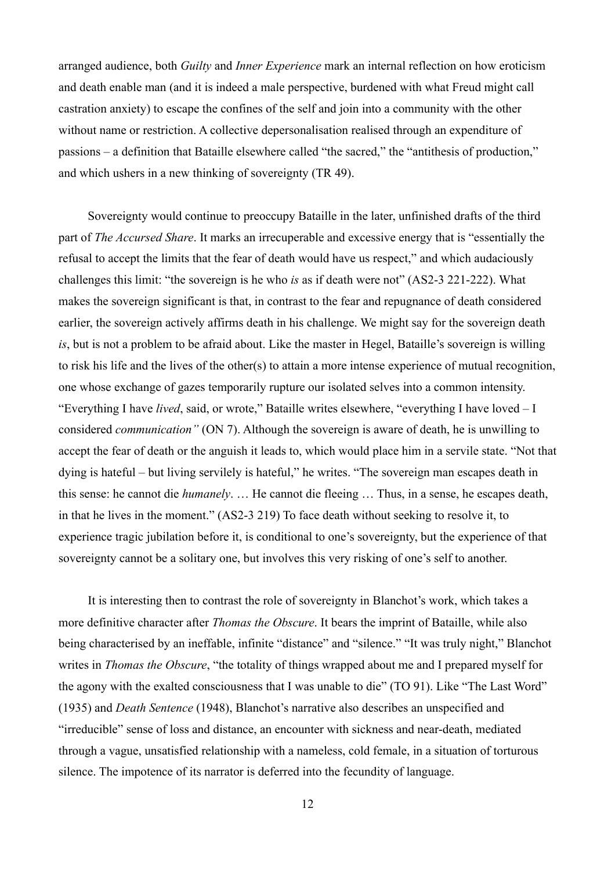arranged audience, both *Guilty* and *Inner Experience* mark an internal reflection on how eroticism and death enable man (and it is indeed a male perspective, burdened with what Freud might call castration anxiety) to escape the confines of the self and join into a community with the other without name or restriction. A collective depersonalisation realised through an expenditure of passions – a definition that Bataille elsewhere called "the sacred," the "antithesis of production," and which ushers in a new thinking of sovereignty (TR 49).

Sovereignty would continue to preoccupy Bataille in the later, unfinished drafts of the third part of *The Accursed Share*. It marks an irrecuperable and excessive energy that is "essentially the refusal to accept the limits that the fear of death would have us respect," and which audaciously challenges this limit: "the sovereign is he who *is* as if death were not" (AS2-3 221-222). What makes the sovereign significant is that, in contrast to the fear and repugnance of death considered earlier, the sovereign actively affirms death in his challenge. We might say for the sovereign death *is*, but is not a problem to be afraid about. Like the master in Hegel, Bataille's sovereign is willing to risk his life and the lives of the other(s) to attain a more intense experience of mutual recognition, one whose exchange of gazes temporarily rupture our isolated selves into a common intensity. "Everything I have *lived*, said, or wrote," Bataille writes elsewhere, "everything I have loved – I considered *communication"* (ON 7). Although the sovereign is aware of death, he is unwilling to accept the fear of death or the anguish it leads to, which would place him in a servile state. "Not that dying is hateful – but living servilely is hateful," he writes. "The sovereign man escapes death in this sense: he cannot die *humanely*. … He cannot die fleeing … Thus, in a sense, he escapes death, in that he lives in the moment." (AS2-3 219) To face death without seeking to resolve it, to experience tragic jubilation before it, is conditional to one's sovereignty, but the experience of that sovereignty cannot be a solitary one, but involves this very risking of one's self to another.

It is interesting then to contrast the role of sovereignty in Blanchot's work, which takes a more definitive character after *Thomas the Obscure*. It bears the imprint of Bataille, while also being characterised by an ineffable, infinite "distance" and "silence." "It was truly night," Blanchot writes in *Thomas the Obscure*, "the totality of things wrapped about me and I prepared myself for the agony with the exalted consciousness that I was unable to die" (TO 91). Like "The Last Word" (1935) and *Death Sentence* (1948), Blanchot's narrative also describes an unspecified and "irreducible" sense of loss and distance, an encounter with sickness and near-death, mediated through a vague, unsatisfied relationship with a nameless, cold female, in a situation of torturous silence. The impotence of its narrator is deferred into the fecundity of language.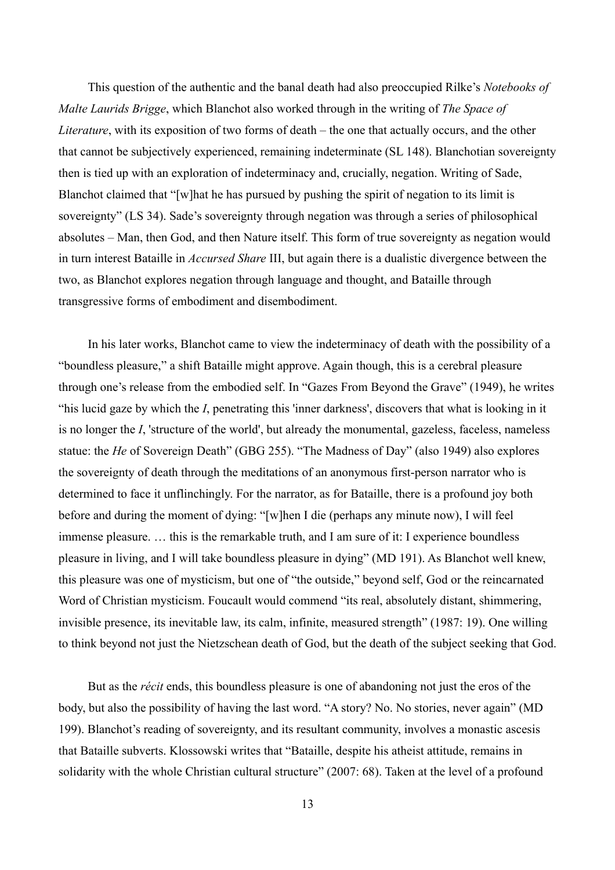This question of the authentic and the banal death had also preoccupied Rilke's *Notebooks of Malte Laurids Brigge*, which Blanchot also worked through in the writing of *The Space of Literature*, with its exposition of two forms of death – the one that actually occurs, and the other that cannot be subjectively experienced, remaining indeterminate (SL 148). Blanchotian sovereignty then is tied up with an exploration of indeterminacy and, crucially, negation. Writing of Sade, Blanchot claimed that "[w]hat he has pursued by pushing the spirit of negation to its limit is sovereignty" (LS 34). Sade's sovereignty through negation was through a series of philosophical absolutes – Man, then God, and then Nature itself. This form of true sovereignty as negation would in turn interest Bataille in *Accursed Share* III, but again there is a dualistic divergence between the two, as Blanchot explores negation through language and thought, and Bataille through transgressive forms of embodiment and disembodiment.

In his later works, Blanchot came to view the indeterminacy of death with the possibility of a "boundless pleasure," a shift Bataille might approve. Again though, this is a cerebral pleasure through one's release from the embodied self. In "Gazes From Beyond the Grave" (1949), he writes "his lucid gaze by which the *I*, penetrating this 'inner darkness', discovers that what is looking in it is no longer the *I*, 'structure of the world', but already the monumental, gazeless, faceless, nameless statue: the *He* of Sovereign Death" (GBG 255). "The Madness of Day" (also 1949) also explores the sovereignty of death through the meditations of an anonymous first-person narrator who is determined to face it unflinchingly. For the narrator, as for Bataille, there is a profound joy both before and during the moment of dying: "[w]hen I die (perhaps any minute now), I will feel immense pleasure. … this is the remarkable truth, and I am sure of it: I experience boundless pleasure in living, and I will take boundless pleasure in dying" (MD 191). As Blanchot well knew, this pleasure was one of mysticism, but one of "the outside," beyond self, God or the reincarnated Word of Christian mysticism. Foucault would commend "its real, absolutely distant, shimmering, invisible presence, its inevitable law, its calm, infinite, measured strength" (1987: 19). One willing to think beyond not just the Nietzschean death of God, but the death of the subject seeking that God.

But as the *récit* ends, this boundless pleasure is one of abandoning not just the eros of the body, but also the possibility of having the last word. "A story? No. No stories, never again" (MD 199). Blanchot's reading of sovereignty, and its resultant community, involves a monastic ascesis that Bataille subverts. Klossowski writes that "Bataille, despite his atheist attitude, remains in solidarity with the whole Christian cultural structure" (2007: 68). Taken at the level of a profound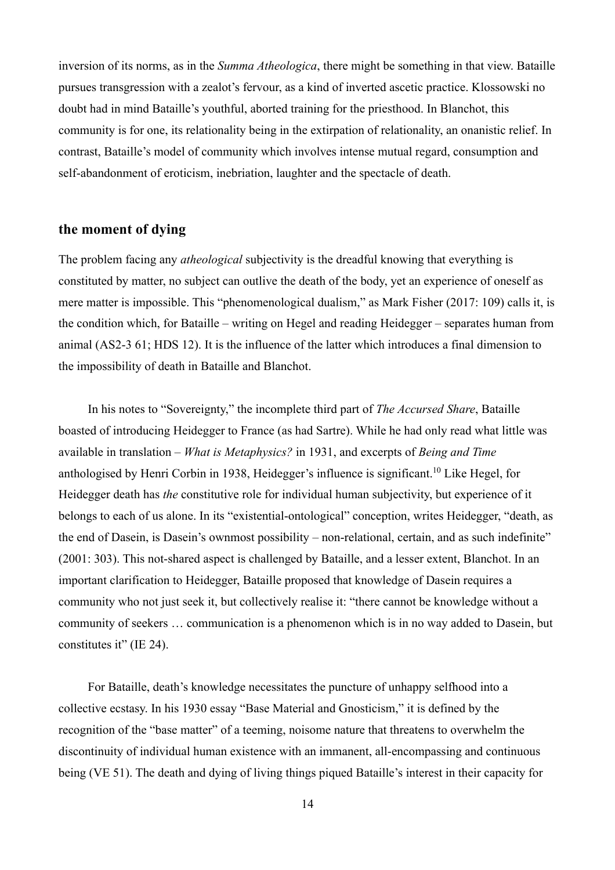inversion of its norms, as in the *Summa Atheologica*, there might be something in that view. Bataille pursues transgression with a zealot's fervour, as a kind of inverted ascetic practice. Klossowski no doubt had in mind Bataille's youthful, aborted training for the priesthood. In Blanchot, this community is for one, its relationality being in the extirpation of relationality, an onanistic relief. In contrast, Bataille's model of community which involves intense mutual regard, consumption and self-abandonment of eroticism, inebriation, laughter and the spectacle of death.

#### **the moment of dying**

The problem facing any *atheological* subjectivity is the dreadful knowing that everything is constituted by matter, no subject can outlive the death of the body, yet an experience of oneself as mere matter is impossible. This "phenomenological dualism," as Mark Fisher (2017: 109) calls it, is the condition which, for Bataille – writing on Hegel and reading Heidegger – separates human from animal (AS2-3 61; HDS 12). It is the influence of the latter which introduces a final dimension to the impossibility of death in Bataille and Blanchot.

In his notes to "Sovereignty," the incomplete third part of *The Accursed Share*, Bataille boasted of introducing Heidegger to France (as had Sartre). While he had only read what little was available in translation – *What is Metaphysics?* in 1931, and excerpts of *Being and Time*  anthologised by Henri Corbin in 1938, Heidegger's influence is significant.10 Like Hegel, for Heidegger death has *the* constitutive role for individual human subjectivity, but experience of it belongs to each of us alone. In its "existential-ontological" conception, writes Heidegger, "death, as the end of Dasein, is Dasein's ownmost possibility – non-relational, certain, and as such indefinite" (2001: 303). This not-shared aspect is challenged by Bataille, and a lesser extent, Blanchot. In an important clarification to Heidegger, Bataille proposed that knowledge of Dasein requires a community who not just seek it, but collectively realise it: "there cannot be knowledge without a community of seekers … communication is a phenomenon which is in no way added to Dasein, but constitutes it" (IE 24).

For Bataille, death's knowledge necessitates the puncture of unhappy selfhood into a collective ecstasy. In his 1930 essay "Base Material and Gnosticism," it is defined by the recognition of the "base matter" of a teeming, noisome nature that threatens to overwhelm the discontinuity of individual human existence with an immanent, all-encompassing and continuous being (VE 51). The death and dying of living things piqued Bataille's interest in their capacity for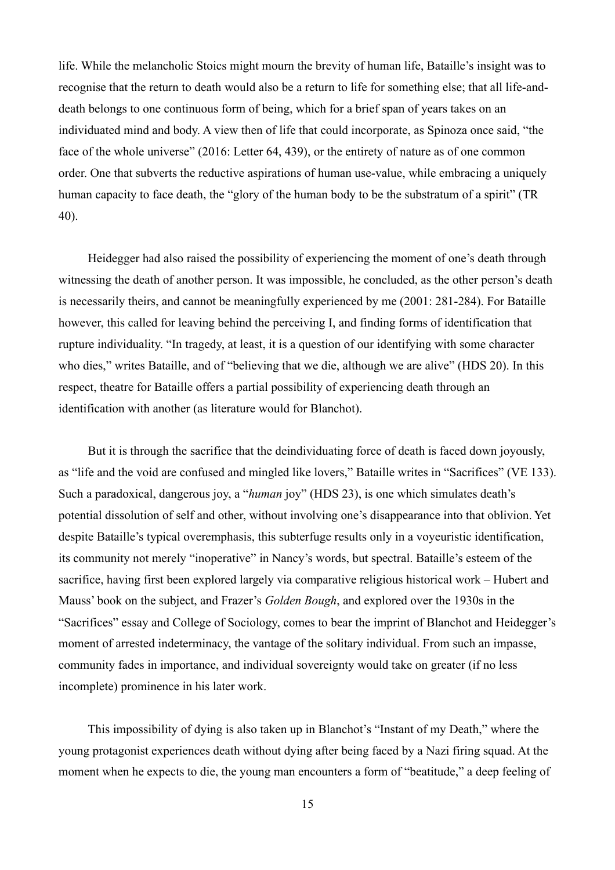life. While the melancholic Stoics might mourn the brevity of human life, Bataille's insight was to recognise that the return to death would also be a return to life for something else; that all life-anddeath belongs to one continuous form of being, which for a brief span of years takes on an individuated mind and body. A view then of life that could incorporate, as Spinoza once said, "the face of the whole universe" (2016: Letter 64, 439), or the entirety of nature as of one common order. One that subverts the reductive aspirations of human use-value, while embracing a uniquely human capacity to face death, the "glory of the human body to be the substratum of a spirit" (TR 40).

Heidegger had also raised the possibility of experiencing the moment of one's death through witnessing the death of another person. It was impossible, he concluded, as the other person's death is necessarily theirs, and cannot be meaningfully experienced by me (2001: 281-284). For Bataille however, this called for leaving behind the perceiving I, and finding forms of identification that rupture individuality. "In tragedy, at least, it is a question of our identifying with some character who dies," writes Bataille, and of "believing that we die, although we are alive" (HDS 20). In this respect, theatre for Bataille offers a partial possibility of experiencing death through an identification with another (as literature would for Blanchot).

But it is through the sacrifice that the deindividuating force of death is faced down joyously, as "life and the void are confused and mingled like lovers," Bataille writes in "Sacrifices" (VE 133). Such a paradoxical, dangerous joy, a "*human* joy" (HDS 23), is one which simulates death's potential dissolution of self and other, without involving one's disappearance into that oblivion. Yet despite Bataille's typical overemphasis, this subterfuge results only in a voyeuristic identification, its community not merely "inoperative" in Nancy's words, but spectral. Bataille's esteem of the sacrifice, having first been explored largely via comparative religious historical work – Hubert and Mauss' book on the subject, and Frazer's *Golden Bough*, and explored over the 1930s in the "Sacrifices" essay and College of Sociology, comes to bear the imprint of Blanchot and Heidegger's moment of arrested indeterminacy, the vantage of the solitary individual. From such an impasse, community fades in importance, and individual sovereignty would take on greater (if no less incomplete) prominence in his later work.

This impossibility of dying is also taken up in Blanchot's "Instant of my Death," where the young protagonist experiences death without dying after being faced by a Nazi firing squad. At the moment when he expects to die, the young man encounters a form of "beatitude," a deep feeling of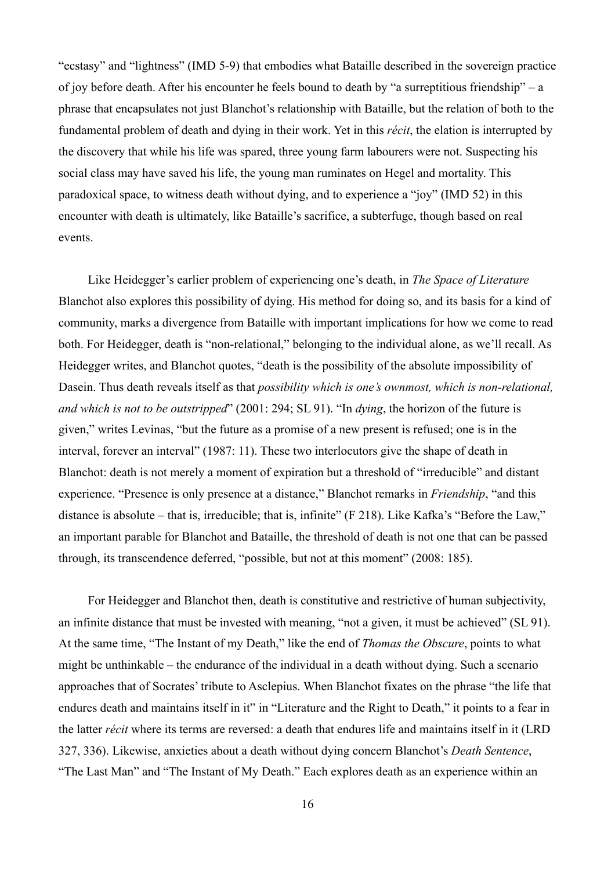"ecstasy" and "lightness" (IMD 5-9) that embodies what Bataille described in the sovereign practice of joy before death. After his encounter he feels bound to death by "a surreptitious friendship" – a phrase that encapsulates not just Blanchot's relationship with Bataille, but the relation of both to the fundamental problem of death and dying in their work. Yet in this *récit*, the elation is interrupted by the discovery that while his life was spared, three young farm labourers were not. Suspecting his social class may have saved his life, the young man ruminates on Hegel and mortality. This paradoxical space, to witness death without dying, and to experience a "joy" (IMD 52) in this encounter with death is ultimately, like Bataille's sacrifice, a subterfuge, though based on real events.

Like Heidegger's earlier problem of experiencing one's death, in *The Space of Literature*  Blanchot also explores this possibility of dying. His method for doing so, and its basis for a kind of community, marks a divergence from Bataille with important implications for how we come to read both. For Heidegger, death is "non-relational," belonging to the individual alone, as we'll recall. As Heidegger writes, and Blanchot quotes, "death is the possibility of the absolute impossibility of Dasein. Thus death reveals itself as that *possibility which is one's ownmost, which is non-relational, and which is not to be outstripped*" (2001: 294; SL 91). "In *dying*, the horizon of the future is given," writes Levinas, "but the future as a promise of a new present is refused; one is in the interval, forever an interval" (1987: 11). These two interlocutors give the shape of death in Blanchot: death is not merely a moment of expiration but a threshold of "irreducible" and distant experience. "Presence is only presence at a distance," Blanchot remarks in *Friendship*, "and this distance is absolute – that is, irreducible; that is, infinite" (F 218). Like Kafka's "Before the Law," an important parable for Blanchot and Bataille, the threshold of death is not one that can be passed through, its transcendence deferred, "possible, but not at this moment" (2008: 185).

For Heidegger and Blanchot then, death is constitutive and restrictive of human subjectivity, an infinite distance that must be invested with meaning, "not a given, it must be achieved" (SL 91). At the same time, "The Instant of my Death," like the end of *Thomas the Obscure*, points to what might be unthinkable – the endurance of the individual in a death without dying. Such a scenario approaches that of Socrates' tribute to Asclepius. When Blanchot fixates on the phrase "the life that endures death and maintains itself in it" in "Literature and the Right to Death," it points to a fear in the latter *récit* where its terms are reversed: a death that endures life and maintains itself in it (LRD 327, 336). Likewise, anxieties about a death without dying concern Blanchot's *Death Sentence*, "The Last Man" and "The Instant of My Death." Each explores death as an experience within an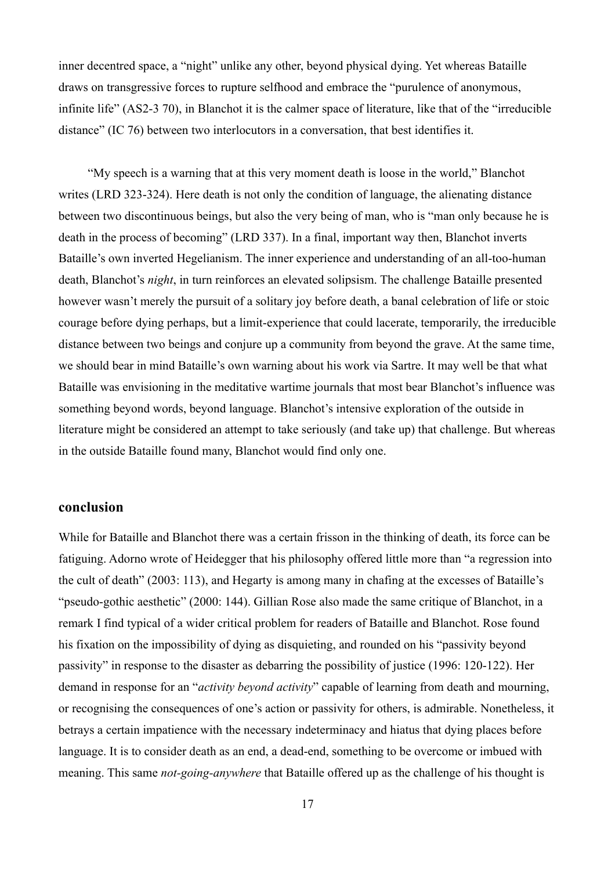inner decentred space, a "night" unlike any other, beyond physical dying. Yet whereas Bataille draws on transgressive forces to rupture selfhood and embrace the "purulence of anonymous, infinite life" (AS2-3 70), in Blanchot it is the calmer space of literature, like that of the "irreducible distance" (IC 76) between two interlocutors in a conversation, that best identifies it.

"My speech is a warning that at this very moment death is loose in the world," Blanchot writes (LRD 323-324). Here death is not only the condition of language, the alienating distance between two discontinuous beings, but also the very being of man, who is "man only because he is death in the process of becoming" (LRD 337). In a final, important way then, Blanchot inverts Bataille's own inverted Hegelianism. The inner experience and understanding of an all-too-human death, Blanchot's *night*, in turn reinforces an elevated solipsism. The challenge Bataille presented however wasn't merely the pursuit of a solitary joy before death, a banal celebration of life or stoic courage before dying perhaps, but a limit-experience that could lacerate, temporarily, the irreducible distance between two beings and conjure up a community from beyond the grave. At the same time, we should bear in mind Bataille's own warning about his work via Sartre. It may well be that what Bataille was envisioning in the meditative wartime journals that most bear Blanchot's influence was something beyond words, beyond language. Blanchot's intensive exploration of the outside in literature might be considered an attempt to take seriously (and take up) that challenge. But whereas in the outside Bataille found many, Blanchot would find only one.

#### **conclusion**

While for Bataille and Blanchot there was a certain frisson in the thinking of death, its force can be fatiguing. Adorno wrote of Heidegger that his philosophy offered little more than "a regression into the cult of death" (2003: 113), and Hegarty is among many in chafing at the excesses of Bataille's "pseudo-gothic aesthetic" (2000: 144). Gillian Rose also made the same critique of Blanchot, in a remark I find typical of a wider critical problem for readers of Bataille and Blanchot. Rose found his fixation on the impossibility of dying as disquieting, and rounded on his "passivity beyond passivity" in response to the disaster as debarring the possibility of justice (1996: 120-122). Her demand in response for an "*activity beyond activity*" capable of learning from death and mourning, or recognising the consequences of one's action or passivity for others, is admirable. Nonetheless, it betrays a certain impatience with the necessary indeterminacy and hiatus that dying places before language. It is to consider death as an end, a dead-end, something to be overcome or imbued with meaning. This same *not-going-anywhere* that Bataille offered up as the challenge of his thought is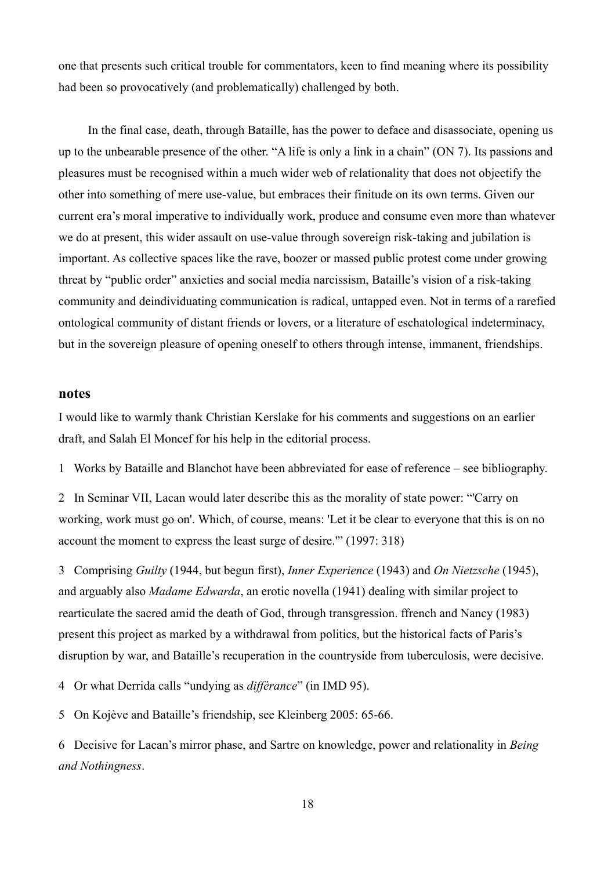one that presents such critical trouble for commentators, keen to find meaning where its possibility had been so provocatively (and problematically) challenged by both.

In the final case, death, through Bataille, has the power to deface and disassociate, opening us up to the unbearable presence of the other. "A life is only a link in a chain" (ON 7). Its passions and pleasures must be recognised within a much wider web of relationality that does not objectify the other into something of mere use-value, but embraces their finitude on its own terms. Given our current era's moral imperative to individually work, produce and consume even more than whatever we do at present, this wider assault on use-value through sovereign risk-taking and jubilation is important. As collective spaces like the rave, boozer or massed public protest come under growing threat by "public order" anxieties and social media narcissism, Bataille's vision of a risk-taking community and deindividuating communication is radical, untapped even. Not in terms of a rarefied ontological community of distant friends or lovers, or a literature of eschatological indeterminacy, but in the sovereign pleasure of opening oneself to others through intense, immanent, friendships.

#### **notes**

I would like to warmly thank Christian Kerslake for his comments and suggestions on an earlier draft, and Salah El Moncef for his help in the editorial process.

1 Works by Bataille and Blanchot have been abbreviated for ease of reference – see bibliography.

2 In Seminar VII, Lacan would later describe this as the morality of state power: "'Carry on working, work must go on'. Which, of course, means: 'Let it be clear to everyone that this is on no account the moment to express the least surge of desire.'" (1997: 318)

3 Comprising *Guilty* (1944, but begun first), *Inner Experience* (1943) and *On Nietzsche* (1945), and arguably also *Madame Edwarda*, an erotic novella (1941) dealing with similar project to rearticulate the sacred amid the death of God, through transgression. ffrench and Nancy (1983) present this project as marked by a withdrawal from politics, but the historical facts of Paris's disruption by war, and Bataille's recuperation in the countryside from tuberculosis, were decisive.

4 Or what Derrida calls "undying as *différance*" (in IMD 95).

5 On Kojève and Bataille's friendship, see Kleinberg 2005: 65-66.

6 Decisive for Lacan's mirror phase, and Sartre on knowledge, power and relationality in *Being and Nothingness*.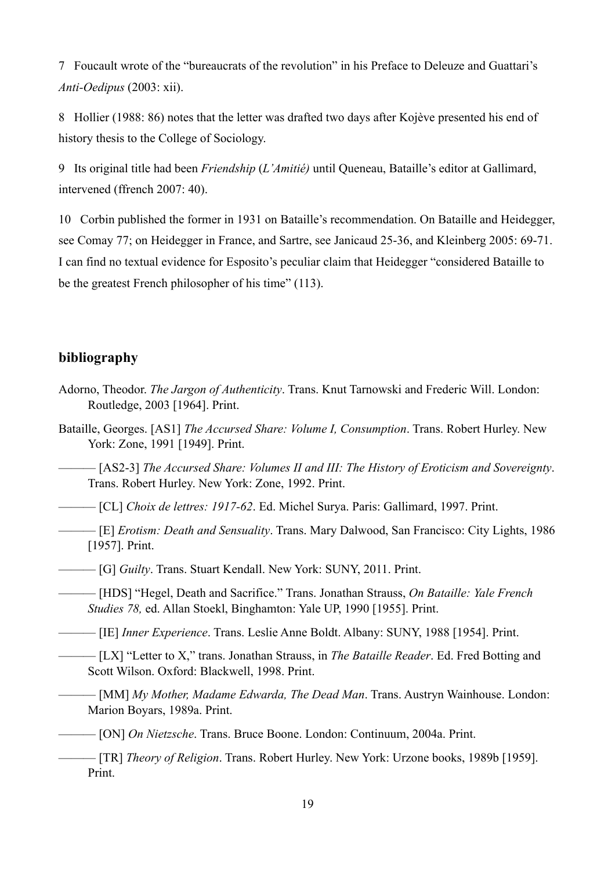7 Foucault wrote of the "bureaucrats of the revolution" in his Preface to Deleuze and Guattari's *Anti-Oedipus* (2003: xii).

8 Hollier (1988: 86) notes that the letter was drafted two days after Kojève presented his end of history thesis to the College of Sociology.

9 Its original title had been *Friendship* (*L'Amitié)* until Queneau, Bataille's editor at Gallimard, intervened (ffrench 2007: 40).

10 Corbin published the former in 1931 on Bataille's recommendation. On Bataille and Heidegger, see Comay 77; on Heidegger in France, and Sartre, see Janicaud 25-36, and Kleinberg 2005: 69-71. I can find no textual evidence for Esposito's peculiar claim that Heidegger "considered Bataille to be the greatest French philosopher of his time" (113).

# **bibliography**

- Adorno, Theodor. *The Jargon of Authenticity*. Trans. Knut Tarnowski and Frederic Will. London: Routledge, 2003 [1964]. Print.
- Bataille, Georges. [AS1] *The Accursed Share: Volume I, Consumption*. Trans. Robert Hurley. New York: Zone, 1991 [1949]. Print.

——— [AS2-3] *The Accursed Share: Volumes II and III: The History of Eroticism and Sovereignty*. Trans. Robert Hurley. New York: Zone, 1992. Print.

——— [CL] *Choix de lettres: 1917-62*. Ed. Michel Surya. Paris: Gallimard, 1997. Print.

——— [E] *Erotism: Death and Sensuality*. Trans. Mary Dalwood, San Francisco: City Lights, 1986 [1957]. Print.

——— [G] *Guilty*. Trans. Stuart Kendall. New York: SUNY, 2011. Print.

——— [HDS] "Hegel, Death and Sacrifice." Trans. Jonathan Strauss, *On Bataille: Yale French Studies 78,* ed. Allan Stoekl, Binghamton: Yale UP, 1990 [1955]. Print.

——— [IE] *Inner Experience*. Trans. Leslie Anne Boldt. Albany: SUNY, 1988 [1954]. Print.

——— [LX] "Letter to X," trans. Jonathan Strauss, in *The Bataille Reader*. Ed. Fred Botting and Scott Wilson. Oxford: Blackwell, 1998. Print.

——— [MM] *My Mother, Madame Edwarda, The Dead Man*. Trans. Austryn Wainhouse. London: Marion Boyars, 1989a. Print.

——— [ON] *On Nietzsche*. Trans. Bruce Boone. London: Continuum, 2004a. Print.

——— [TR] *Theory of Religion*. Trans. Robert Hurley. New York: Urzone books, 1989b [1959]. Print.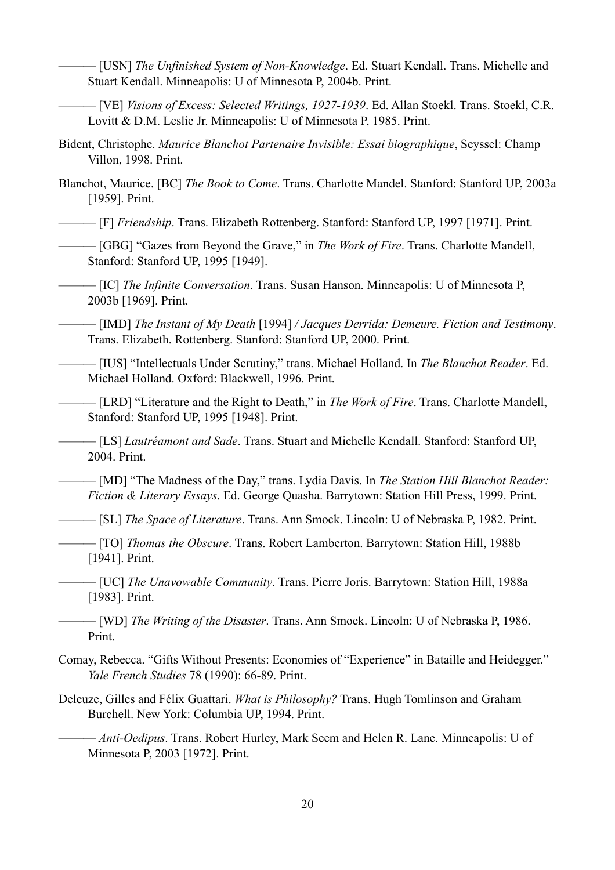- ——— [USN] *The Unfinished System of Non-Knowledge*. Ed. Stuart Kendall. Trans. Michelle and Stuart Kendall. Minneapolis: U of Minnesota P, 2004b. Print.
- ——— [VE] *Visions of Excess: Selected Writings, 1927-1939*. Ed. Allan Stoekl. Trans. Stoekl, C.R. Lovitt & D.M. Leslie Jr. Minneapolis: U of Minnesota P, 1985. Print.
- Bident, Christophe. *Maurice Blanchot Partenaire Invisible: Essai biographique*, Seyssel: Champ Villon, 1998. Print.
- Blanchot, Maurice. [BC] *The Book to Come*. Trans. Charlotte Mandel. Stanford: Stanford UP, 2003a [1959]. Print.

——— [F] *Friendship*. Trans. Elizabeth Rottenberg. Stanford: Stanford UP, 1997 [1971]. Print.

- ——— [GBG] "Gazes from Beyond the Grave," in *The Work of Fire*. Trans. Charlotte Mandell, Stanford: Stanford UP, 1995 [1949].
	- ——— [IC] *The Infinite Conversation*. Trans. Susan Hanson. Minneapolis: U of Minnesota P, 2003b [1969]. Print.
	- ——— [IMD] *The Instant of My Death* [1994] */ Jacques Derrida: Demeure. Fiction and Testimony*. Trans. Elizabeth. Rottenberg. Stanford: Stanford UP, 2000. Print.
- ——— [IUS] "Intellectuals Under Scrutiny," trans. Michael Holland. In *The Blanchot Reader*. Ed. Michael Holland. Oxford: Blackwell, 1996. Print.
- ——— [LRD] "Literature and the Right to Death," in *The Work of Fire*. Trans. Charlotte Mandell, Stanford: Stanford UP, 1995 [1948]. Print.
- ——— [LS] *Lautréamont and Sade*. Trans. Stuart and Michelle Kendall. Stanford: Stanford UP, 2004. Print.
- ——— [MD] "The Madness of the Day," trans. Lydia Davis. In *The Station Hill Blanchot Reader: Fiction & Literary Essays*. Ed. George Quasha. Barrytown: Station Hill Press, 1999. Print.

——— [SL] *The Space of Literature*. Trans. Ann Smock. Lincoln: U of Nebraska P, 1982. Print.

- ——— [TO] *Thomas the Obscure*. Trans. Robert Lamberton. Barrytown: Station Hill, 1988b [1941]. Print.
- ——— [UC] *The Unavowable Community*. Trans. Pierre Joris. Barrytown: Station Hill, 1988a [1983]. Print.
- ——— [WD] *The Writing of the Disaster*. Trans. Ann Smock. Lincoln: U of Nebraska P, 1986. Print.
- Comay, Rebecca. "Gifts Without Presents: Economies of "Experience" in Bataille and Heidegger." *Yale French Studies* 78 (1990): 66-89. Print.
- Deleuze, Gilles and Félix Guattari. *What is Philosophy?* Trans. Hugh Tomlinson and Graham Burchell. New York: Columbia UP, 1994. Print.
	- ——— *Anti-Oedipus*. Trans. Robert Hurley, Mark Seem and Helen R. Lane. Minneapolis: U of Minnesota P, 2003 [1972]. Print.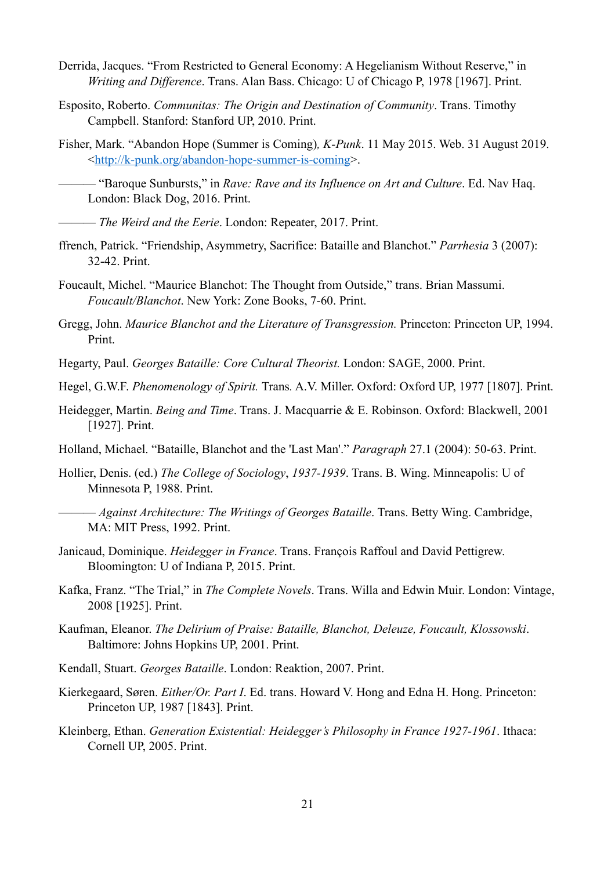- Derrida, Jacques. "From Restricted to General Economy: A Hegelianism Without Reserve," in *Writing and Difference*. Trans. Alan Bass. Chicago: U of Chicago P, 1978 [1967]. Print.
- Esposito, Roberto. *Communitas: The Origin and Destination of Community*. Trans. Timothy Campbell. Stanford: Stanford UP, 2010. Print.
- Fisher, Mark. "Abandon Hope (Summer is Coming)*, K-Punk*. 11 May 2015. Web. 31 August 2019. <http://k-punk.org/abandon-hope-summer-is-coming>.

——— "Baroque Sunbursts," in *Rave: Rave and its Influence on Art and Culture*. Ed. Nav Haq. London: Black Dog, 2016. Print.

——— *The Weird and the Eerie*. London: Repeater, 2017. Print.

- ffrench, Patrick. "Friendship, Asymmetry, Sacrifice: Bataille and Blanchot." *Parrhesia* 3 (2007): 32-42. Print.
- Foucault, Michel. "Maurice Blanchot: The Thought from Outside," trans. Brian Massumi. *Foucault/Blanchot*. New York: Zone Books, 7-60. Print.
- Gregg, John. *Maurice Blanchot and the Literature of Transgression.* Princeton: Princeton UP, 1994. Print.
- Hegarty, Paul. *Georges Bataille: Core Cultural Theorist.* London: SAGE, 2000. Print.

Hegel, G.W.F. *Phenomenology of Spirit.* Trans*.* A.V. Miller. Oxford: Oxford UP, 1977 [1807]. Print.

- Heidegger, Martin. *Being and Time*. Trans. J. Macquarrie & E. Robinson. Oxford: Blackwell, 2001 [1927]. Print.
- Holland, Michael. "Bataille, Blanchot and the 'Last Man'." *Paragraph* 27.1 (2004): 50-63. Print.
- Hollier, Denis. (ed.) *The College of Sociology*, *1937-1939*. Trans. B. Wing. Minneapolis: U of Minnesota P, 1988. Print.
	- ——— *Against Architecture: The Writings of Georges Bataille*. Trans. Betty Wing. Cambridge, MA: MIT Press, 1992. Print.
- Janicaud, Dominique. *Heidegger in France*. Trans. François Raffoul and David Pettigrew. Bloomington: U of Indiana P, 2015. Print.
- Kafka, Franz. "The Trial," in *The Complete Novels*. Trans. Willa and Edwin Muir. London: Vintage, 2008 [1925]. Print.
- Kaufman, Eleanor. *The Delirium of Praise: Bataille, Blanchot, Deleuze, Foucault, Klossowski*. Baltimore: Johns Hopkins UP, 2001. Print.
- Kendall, Stuart. *Georges Bataille*. London: Reaktion, 2007. Print.
- Kierkegaard, Søren. *Either/Or. Part I*. Ed. trans. Howard V. Hong and Edna H. Hong. Princeton: Princeton UP, 1987 [1843]. Print.
- Kleinberg, Ethan. *Generation Existential: Heidegger's Philosophy in France 1927-1961*. Ithaca: Cornell UP, 2005. Print.